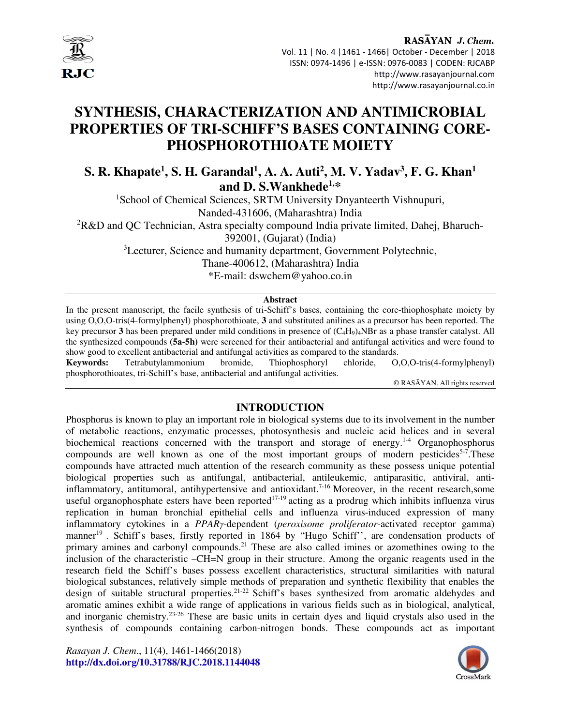

## RASAYAN J. Chem. Vol. 11 | No. 4 |1461 - 1466| October - December | 2018 ISSN: 0974-1496 | e-ISSN: 0976-0083 | CODEN: RJCABP http://www.rasayanjournal.com

http://www.rasayanjournal.co.in

# **SYNTHESIS, CHARACTERIZATION AND ANTIMICROBIAL PROPERTIES OF TRI-SCHIFF'S BASES CONTAINING CORE-PHOSPHOROTHIOATE MOIETY**

**S. R. Khapate<sup>1</sup> , S. H. Garandal<sup>1</sup> , A. A. Auti<sup>2</sup> , M. V. Yadav<sup>3</sup> , F. G. Khan<sup>1</sup> and D. S.Wankhede1,\*** 

<sup>1</sup>School of Chemical Sciences, SRTM University Dnyanteerth Vishnupuri, Nanded-431606, (Maharashtra) India  ${}^{2}R\&D$  and QC Technician, Astra specialty compound India private limited, Dahej, Bharuch-392001, (Gujarat) (India)

<sup>3</sup>Lecturer, Science and humanity department, Government Polytechnic,

Thane-400612, (Maharashtra) India

\*E-mail: dswchem@yahoo.co.in

# **Abstract**

In the present manuscript, the facile synthesis of tri-Schiff's bases, containing the core-thiophosphate moiety by using O,O,O-tris(4-formylphenyl) phosphorothioate, **3** and substituted anilines as a precursor has been reported. The key precursor **3** has been prepared under mild conditions in presence of (C4H9)4NBr as a phase transfer catalyst. All the synthesized compounds **(5a-5h)** were screened for their antibacterial and antifungal activities and were found to show good to excellent antibacterial and antifungal activities as compared to the standards.

**Keywords:** Tetrabutylammonium bromide, Thiophosphoryl chloride, O,O,O-tris(4-formylphenyl) phosphorothioates, tri-Schiff's base, antibacterial and antifungal activities.

© RASĀYAN. All rights reserved

# **INTRODUCTION**

Phosphorus is known to play an important role in biological systems due to its involvement in the number of metabolic reactions, enzymatic processes, photosynthesis and nucleic acid helices and in several biochemical reactions concerned with the transport and storage of energy.<sup>1-4</sup> Organophosphorus compounds are well known as one of the most important groups of modern pesticides<sup>5-7</sup>. These compounds have attracted much attention of the research community as these possess unique potential biological properties such as antifungal, antibacterial, antileukemic, antiparasitic, antiviral, antiinflammatory, antitumoral, antihypertensive and antioxidant.<sup>7-16</sup> Moreover, in the recent research,some useful organophosphate esters have been reported<sup>17-19</sup> acting as a prodrug which inhibits influenza virus replication in human bronchial epithelial cells and influenza virus-induced expression of many inflammatory cytokines in a *PPARγ*-dependent (*peroxisome proliferator*-activated receptor gamma) manner<sup>19</sup>. Schiff's bases, firstly reported in 1864 by "Hugo Schiff", are condensation products of primary amines and carbonyl compounds.<sup>21</sup> These are also called imines or azomethines owing to the inclusion of the characteristic –CH=N group in their structure. Among the organic reagents used in the research field the Schiff's bases possess excellent characteristics, structural similarities with natural biological substances, relatively simple methods of preparation and synthetic flexibility that enables the design of suitable structural properties.<sup>21-22</sup> Schiff's bases synthesized from aromatic aldehydes and aromatic amines exhibit a wide range of applications in various fields such as in biological, analytical, and inorganic chemistry.23-26 These are basic units in certain dyes and liquid crystals also used in the synthesis of compounds containing carbon-nitrogen bonds. These compounds act as important

*Rasayan J. Chem*., 11(4), 1461-1466(2018) **http://dx.doi.org/10.31788/RJC.2018.1144048**

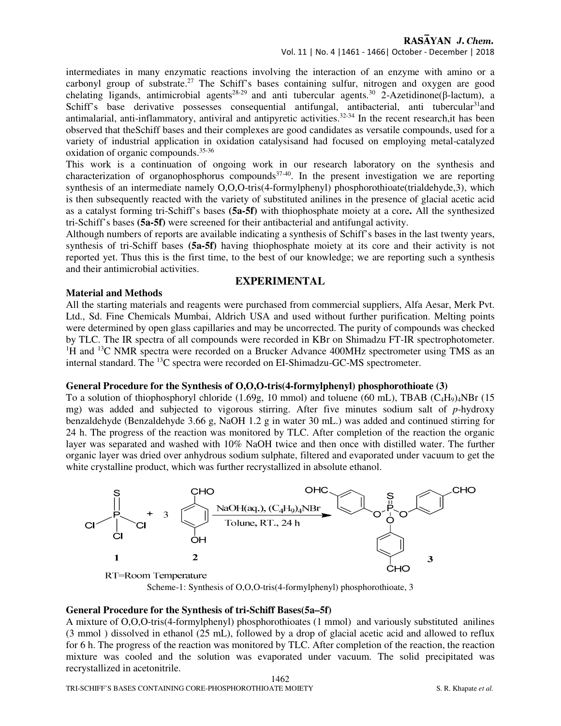# RASAYAN J. Chem.

intermediates in many enzymatic reactions involving the interaction of an enzyme with amino or a carbonyl group of substrate.<sup>27</sup> The Schiff's bases containing sulfur, nitrogen and oxygen are good chelating ligands, antimicrobial agents<sup>28-29</sup> and anti tubercular agents.<sup>30</sup> 2-Azetidinone(β-lactum), a Schiff's base derivative possesses consequential antifungal, antibacterial, anti tubercular<sup>31</sup>and antimalarial, anti-inflammatory, antiviral and antipyretic activities.<sup>32-34</sup> In the recent research, it has been observed that theSchiff bases and their complexes are good candidates as versatile compounds, used for a variety of industrial application in oxidation catalysisand had focused on employing metal-catalyzed oxidation of organic compounds.<sup>35-36</sup>

This work is a continuation of ongoing work in our research laboratory on the synthesis and characterization of organophosphorus compounds<sup>37-40</sup>. In the present investigation we are reporting synthesis of an intermediate namely O,O,O-tris(4-formylphenyl) phosphorothioate(trialdehyde,3), which is then subsequently reacted with the variety of substituted anilines in the presence of glacial acetic acid as a catalyst forming tri-Schiff's bases **(5a-5f)** with thiophosphate moiety at a core**.** All the synthesized tri-Schiff's bases **(5a-5f)** were screened for their antibacterial and antifungal activity.

Although numbers of reports are available indicating a synthesis of Schiff's bases in the last twenty years, synthesis of tri-Schiff bases **(5a-5f)** having thiophosphate moiety at its core and their activity is not reported yet. Thus this is the first time, to the best of our knowledge; we are reporting such a synthesis and their antimicrobial activities.

## **EXPERIMENTAL**

#### **Material and Methods**

All the starting materials and reagents were purchased from commercial suppliers, Alfa Aesar, Merk Pvt. Ltd., Sd. Fine Chemicals Mumbai, Aldrich USA and used without further purification. Melting points were determined by open glass capillaries and may be uncorrected. The purity of compounds was checked by TLC. The IR spectra of all compounds were recorded in KBr on Shimadzu FT-IR spectrophotometer.  $1\text{H}$  and  $13\text{C}$  NMR spectra were recorded on a Brucker Advance 400MHz spectrometer using TMS as an internal standard. The <sup>13</sup>C spectra were recorded on EI-Shimadzu-GC-MS spectrometer.

#### **General Procedure for the Synthesis of O,O,O-tris(4-formylphenyl) phosphorothioate (3)**

To a solution of thiophosphoryl chloride (1.69g, 10 mmol) and toluene (60 mL), TBAB ( $C_4H_9$ )<sub>4</sub>NBr (15 mg) was added and subjected to vigorous stirring. After five minutes sodium salt of *p*-hydroxy benzaldehyde (Benzaldehyde 3.66 g, NaOH 1.2 g in water 30 mL.) was added and continued stirring for 24 h. The progress of the reaction was monitored by TLC. After completion of the reaction the organic layer was separated and washed with 10% NaOH twice and then once with distilled water. The further organic layer was dried over anhydrous sodium sulphate, filtered and evaporated under vacuum to get the white crystalline product, which was further recrystallized in absolute ethanol.



RT=Room Temperature

Scheme-1: Synthesis of O,O,O-tris(4-formylphenyl) phosphorothioate, 3

#### **General Procedure for the Synthesis of tri-Schiff Bases(5a–5f)**

A mixture of O,O,O-tris(4-formylphenyl) phosphorothioates (1 mmol) and variously substituted anilines (3 mmol ) dissolved in ethanol (25 mL), followed by a drop of glacial acetic acid and allowed to reflux for 6 h. The progress of the reaction was monitored by TLC. After completion of the reaction, the reaction mixture was cooled and the solution was evaporated under vacuum. The solid precipitated was recrystallized in acetonitrile.

1462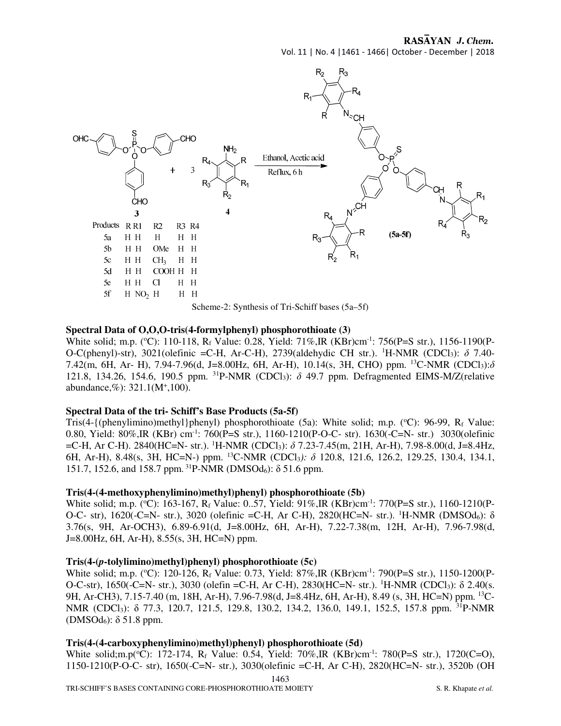# RASAYAN J. Chem.

Vol. 11 | No. 4 |1461 - 1466| October - December | 2018



#### **Spectral Data of O,O,O-tris(4-formylphenyl) phosphorothioate (3)**

White solid; m.p. (°C): 110-118, R<sub>f</sub> Value: 0.28, Yield: 71%,IR (KBr)cm<sup>-1</sup>: 756(P=S str.), 1156-1190(P-O-C(phenyl)-str), 3021(olefinic =C-H, Ar-C-H), 2739(aldehydic CH str.). <sup>1</sup>H-NMR (CDCl3): *δ* 7.40- 7.42(m, 6H, Ar- H), 7.94-7.96(d, J=8.00Hz, 6H, Ar-H), 10.14(s, 3H, CHO) ppm. <sup>13</sup>C-NMR (CDCl3):*δ* 121.8, 134.26, 154.6, 190.5 ppm. <sup>31</sup>P-NMR (CDCl3): *δ* 49.7 ppm. Defragmented EIMS-M/Z(relative abundance,%): 321.1(M<sup>+</sup> ,100).

#### **Spectral Data of the tri- Schiff's Base Products (5a-5f)**

Tris(4-{(phenylimino)methyl}phenyl) phosphorothioate (5a): White solid; m.p. ( $^{\circ}$ C): 96-99, R<sub>f</sub> Value: 0.80, Yield: 80%,IR (KBr) cm-1: 760(P=S str.), 1160-1210(P-O-C- str). 1630(-C=N- str.) 3030(olefinic =C-H, Ar C-H). 2840(HC=N- str.). <sup>1</sup>H-NMR (CDCl3): *δ* 7.23-7.45(m, 21H, Ar-H), 7.98-8.00(d, J=8.4Hz, 6H, Ar-H), 8.48(s, 3H, HC=N-) ppm. <sup>13</sup>C-NMR (CDCl3*): δ* 120.8, 121.6, 126.2, 129.25, 130.4, 134.1, 151.7, 152.6, and 158.7 ppm.<sup>31</sup>P-NMR (DMSOd<sub>6</sub>): δ 51.6 ppm.

#### **Tris(4-(4-methoxyphenylimino)methyl)phenyl) phosphorothioate (5b)**

White solid; m.p. (°C): 163-167, R<sub>f</sub> Value: 0..57, Yield: 91%,IR (KBr)cm<sup>-1</sup>: 770(P=S str.), 1160-1210(P-O-C- str), 1620(-C=N- str.), 3020 (olefinic =C-H, Ar C-H), 2820(HC=N- str.). <sup>1</sup>H-NMR (DMSOd6): δ 3.76(s, 9H, Ar-OCH3), 6.89-6.91(d, J=8.00Hz, 6H, Ar-H), 7.22-7.38(m, 12H, Ar-H), 7.96-7.98(d, J=8.00Hz, 6H, Ar-H), 8.55(s, 3H, HC=N) ppm.

#### **Tris(4-(***p***-tolylimino)methyl)phenyl) phosphorothioate (5c)**

White solid; m.p. (°C): 120-126, R<sub>f</sub> Value: 0.73, Yield: 87%,IR (KBr)cm<sup>-1</sup>: 790(P=S str.), 1150-1200(P-O-C-str), 1650(-C=N- str.), 3030 (olefin = C-H, Ar C-H), 2830(HC=N- str.). <sup>1</sup>H-NMR (CDCl<sub>3</sub>): δ 2.40(s. 9H, Ar-CH3), 7.15-7.40 (m, 18H, Ar-H), 7.96-7.98(d, J=8.4Hz, 6H, Ar-H), 8.49 (s, 3H, HC=N) ppm. 13C-NMR (CDCl<sub>3</sub>): δ 77.3, 120.7, 121.5, 129.8, 130.2, 134.2, 136.0, 149.1, 152.5, 157.8 ppm. <sup>31</sup>P-NMR (DMSOd<sub>6</sub>):  $\delta$  51.8 ppm.

#### **Tris(4-(4-carboxyphenylimino)methyl)phenyl) phosphorothioate (5d)**

1463 White solid;m.p( ${}^{\circ}$ C): 172-174, R<sub>f</sub> Value: 0.54, Yield: 70%,IR (KBr)cm<sup>-1</sup>: 780(P=S str.), 1720(C=O), 1150-1210(P-O-C- str), 1650(-C=N- str.), 3030(olefinic =C-H, Ar C-H), 2820(HC=N- str.), 3520b (OH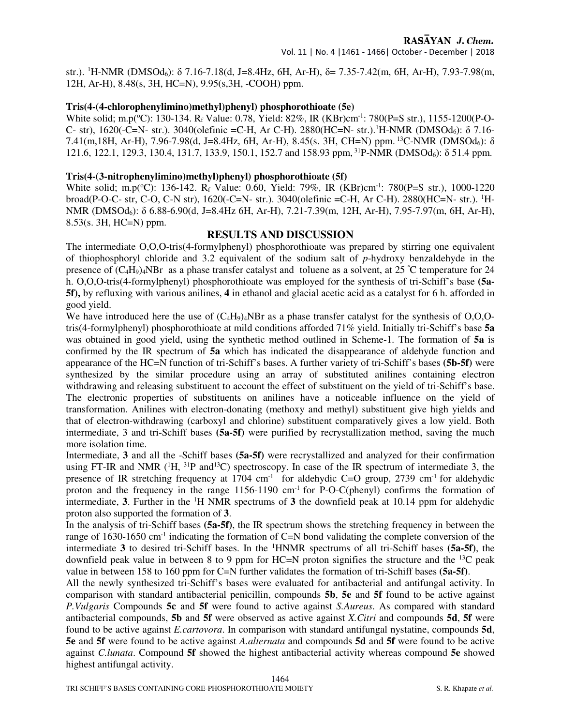str.). <sup>1</sup>H-NMR (DMSOd<sub>6</sub>):  $\delta$  7.16-7.18(d, J=8.4Hz, 6H, Ar-H),  $\delta$  = 7.35-7.42(m, 6H, Ar-H), 7.93-7.98(m, 12H, Ar-H), 8.48(s, 3H, HC=N), 9.95(s,3H, -COOH) ppm.

#### **Tris(4-(4-chlorophenylimino)methyl)phenyl) phosphorothioate (5e)**

White solid; m.p( $^{\circ}$ C): 130-134. R<sub>f</sub> Value: 0.78, Yield: 82%, IR (KBr)cm<sup>-1</sup>: 780(P=S str.), 1155-1200(P-O-C- str), 1620(-C=N- str.). 3040(olefinic =C-H, Ar C-H). 2880(HC=N- str.).<sup>1</sup>H-NMR (DMSOd<sub>6</sub>): δ 7.16-7.41(m,18H, Ar-H), 7.96-7.98(d, J=8.4Hz, 6H, Ar-H), 8.45(s. 3H, CH=N) ppm.<sup>13</sup>C-NMR (DMSOd6): δ 121.6, 122.1, 129.3, 130.4, 131.7, 133.9, 150.1, 152.7 and 158.93 ppm, <sup>31</sup>P-NMR (DMSOd<sub>6</sub>):  $\delta$  51.4 ppm.

#### **Tris(4-(3-nitrophenylimino)methyl)phenyl) phosphorothioate (5f)**

White solid; m.p( $^{\circ}$ C): 136-142. R<sub>f</sub> Value: 0.60, Yield: 79%, IR (KBr)cm<sup>-1</sup>: 780(P=S str.), 1000-1220 broad(P-O-C- str, C-O, C-N str), 1620(-C=N- str.). 3040(olefinic =C-H, Ar C-H). 2880(HC=N- str.). 1H-NMR (DMSOd6): δ 6.88-6.90(d, J=8.4Hz 6H, Ar-H), 7.21-7.39(m, 12H, Ar-H), 7.95-7.97(m, 6H, Ar-H), 8.53(s. 3H, HC=N) ppm.

## **RESULTS AND DISCUSSION**

The intermediate O,O,O-tris(4-formylphenyl) phosphorothioate was prepared by stirring one equivalent of thiophosphoryl chloride and 3.2 equivalent of the sodium salt of *p*-hydroxy benzaldehyde in the presence of  $(C_4H_9)_4$ NBr as a phase transfer catalyst and toluene as a solvent, at 25 °C temperature for 24 h. O,O,O-tris(4-formylphenyl) phosphorothioate was employed for the synthesis of tri-Schiff's base **(5a-5f),** by refluxing with various anilines, **4** in ethanol and glacial acetic acid as a catalyst for 6 h. afforded in good yield.

We have introduced here the use of  $(C_4H_9)_4NBr$  as a phase transfer catalyst for the synthesis of O,O,Otris(4-formylphenyl) phosphorothioate at mild conditions afforded 71% yield. Initially tri-Schiff's base **5a** was obtained in good yield, using the synthetic method outlined in Scheme-1. The formation of **5a** is confirmed by the IR spectrum of **5a** which has indicated the disappearance of aldehyde function and appearance of the HC=N function of tri-Schiff's bases. A further variety of tri-Schiff's bases **(5b-5f)** were synthesized by the similar procedure using an array of substituted anilines containing electron withdrawing and releasing substituent to account the effect of substituent on the yield of tri-Schiff's base. The electronic properties of substituents on anilines have a noticeable influence on the yield of transformation. Anilines with electron-donating (methoxy and methyl) substituent give high yields and that of electron-withdrawing (carboxyl and chlorine) substituent comparatively gives a low yield. Both intermediate, 3 and tri-Schiff bases **(5a-5f)** were purified by recrystallization method, saving the much more isolation time.

Intermediate, **3** and all the -Schiff bases **(5a-5f)** were recrystallized and analyzed for their confirmation using FT-IR and NMR  $(^1H, ^{31}P$  and<sup>13</sup>C) spectroscopy. In case of the IR spectrum of intermediate 3, the presence of IR stretching frequency at 1704 cm<sup>-1</sup> for aldehydic C=O group, 2739 cm<sup>-1</sup> for aldehydic proton and the frequency in the range  $1156-1190$  cm<sup>-1</sup> for P-O-C(phenyl) confirms the formation of intermediate, **3**. Further in the  $\mathrm{H}$  NMR spectrums of **3** the downfield peak at 10.14 ppm for aldehydic proton also supported the formation of **3**.

In the analysis of tri-Schiff bases **(5a-5f)**, the IR spectrum shows the stretching frequency in between the range of 1630-1650 cm<sup>-1</sup> indicating the formation of C=N bond validating the complete conversion of the intermediate **3** to desired tri-Schiff bases. In the <sup>1</sup>HNMR spectrums of all tri-Schiff bases **(5a-5f)**, the downfield peak value in between 8 to 9 ppm for HC=N proton signifies the structure and the <sup>13</sup>C peak value in between 158 to 160 ppm for C=N further validates the formation of tri-Schiff bases **(5a-5f)**.

All the newly synthesized tri-Schiff's bases were evaluated for antibacterial and antifungal activity. In comparison with standard antibacterial penicillin, compounds **5b**, **5e** and **5f** found to be active against *P.Vulgaris* Compounds **5c** and **5f** were found to active against *S.Aureus*. As compared with standard antibacterial compounds, **5b** and **5f** were observed as active against *X.Citri* and compounds **5d**, **5f** were found to be active against *E.cartovora*. In comparison with standard antifungal nystatine, compounds **5d**, **5e** and **5f** were found to be active against *A.alternata* and compounds **5d** and **5f** were found to be active against *C.lunata*. Compound **5f** showed the highest antibacterial activity whereas compound **5e** showed highest antifungal activity.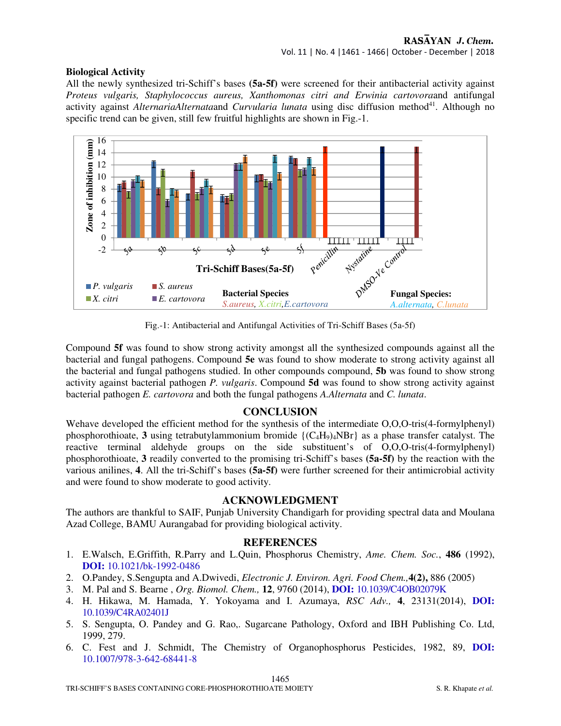# **Biological Activity**

All the newly synthesized tri-Schiff's bases **(5a-5f)** were screened for their antibacterial activity against *Proteus vulgaris, Staphylococcus aureus, Xanthomonas citri and Erwinia cartovora*and antifungal activity against *AlternariaAlternataand Curvularia lunata* using disc diffusion method<sup>41</sup>. Although no specific trend can be given, still few fruitful highlights are shown in Fig.-1.



Fig.-1: Antibacterial and Antifungal Activities of Tri-Schiff Bases (5a-5f)

Compound **5f** was found to show strong activity amongst all the synthesized compounds against all the bacterial and fungal pathogens. Compound **5e** was found to show moderate to strong activity against all the bacterial and fungal pathogens studied. In other compounds compound, **5b** was found to show strong activity against bacterial pathogen *P. vulgaris*. Compound **5d** was found to show strong activity against bacterial pathogen *E. cartovora* and both the fungal pathogens *A.Alternata* and *C. lunata*.

# **CONCLUSION**

Wehave developed the efficient method for the synthesis of the intermediate O,O,O-tris(4-formylphenyl) phosphorothioate, **3** using tetrabutylammonium bromide  $\{(\text{C}_4\text{H}_9)_4\text{NBr}\}\$  as a phase transfer catalyst. The reactive terminal aldehyde groups on the side substituent's of O,O,O-tris(4-formylphenyl) phosphorothioate, **3** readily converted to the promising tri-Schiff's bases **(5a-5f)** by the reaction with the various anilines, **4**. All the tri-Schiff's bases **(5a-5f)** were further screened for their antimicrobial activity and were found to show moderate to good activity.

# **ACKNOWLEDGMENT**

The authors are thankful to SAIF, Punjab University Chandigarh for providing spectral data and Moulana Azad College, BAMU Aurangabad for providing biological activity.

# **REFERENCES**

- 1. E.Walsch, E.Griffith, R.Parry and L.Quin, Phosphorus Chemistry, *Ame. Chem. Soc.*, **486** (1992), **DOI:** 10.1021/bk-1992-0486
- 2. O.Pandey, S.Sengupta and A.Dwivedi, *Electronic J. Environ. Agri. Food Chem.,***4(2),** 886 (2005)
- 3. M. Pal and S. Bearne , *Org. Biomol. Chem.,* **12**, 9760 (2014), **DOI:** 10.1039/C4OB02079K
- 4. H. Hikawa, M. Hamada, Y. Yokoyama and I. Azumaya, *RSC Adv.,* **4**, 23131(2014), **DOI:** 10.1039/C4RA02401J
- 5. S. Sengupta, O. Pandey and G. Rao,. Sugarcane Pathology, Oxford and IBH Publishing Co. Ltd, 1999, 279.
- 6. C. Fest and J. Schmidt, The Chemistry of Organophosphorus Pesticides, 1982, 89, **DOI:** 10.1007/978-3-642-68441-8